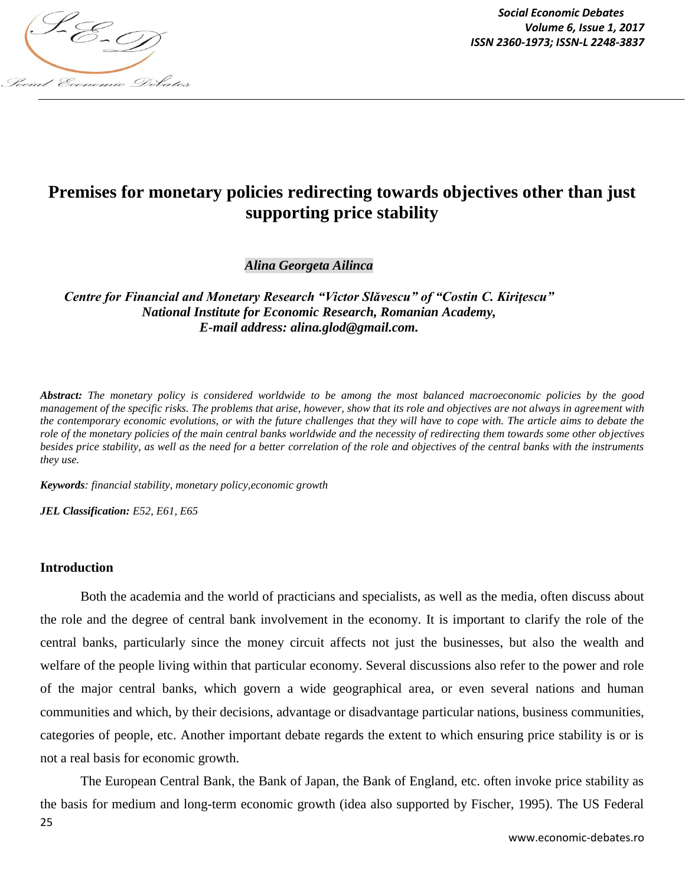

*Social Economic Debates Volume 6, Issue 1, 2017*

# **Premises for monetary policies redirecting towards objectives other than just supporting price stability**

*Alina Georgeta Ailinca*

*Centre for Financial and Monetary Research "Victor Slăvescu" of "Costin C. Kiritescu" National Institute for Economic Research, Romanian Academy, E-mail address: alina.glod@gmail.com.*

*Abstract: The monetary policy is considered worldwide to be among the most balanced macroeconomic policies by the good management of the specific risks. The problems that arise, however, show that its role and objectives are not always in agreement with the contemporary economic evolutions, or with the future challenges that they will have to cope with. The article aims to debate the role of the monetary policies of the main central banks worldwide and the necessity of redirecting them towards some other objectives besides price stability, as well as the need for a better correlation of the role and objectives of the central banks with the instruments they use.*

*Keywords: financial stability, monetary policy,economic growth*

*JEL Classification: E52, E61, E65*

#### **Introduction**

Both the academia and the world of practicians and specialists, as well as the media, often discuss about the role and the degree of central bank involvement in the economy. It is important to clarify the role of the central banks, particularly since the money circuit affects not just the businesses, but also the wealth and welfare of the people living within that particular economy. Several discussions also refer to the power and role of the major central banks, which govern a wide geographical area, or even several nations and human communities and which, by their decisions, advantage or disadvantage particular nations, business communities, categories of people, etc. Another important debate regards the extent to which ensuring price stability is or is not a real basis for economic growth.

25 The European Central Bank, the Bank of Japan, the Bank of England, etc. often invoke price stability as the basis for medium and long-term economic growth (idea also supported by Fischer, 1995). The US Federal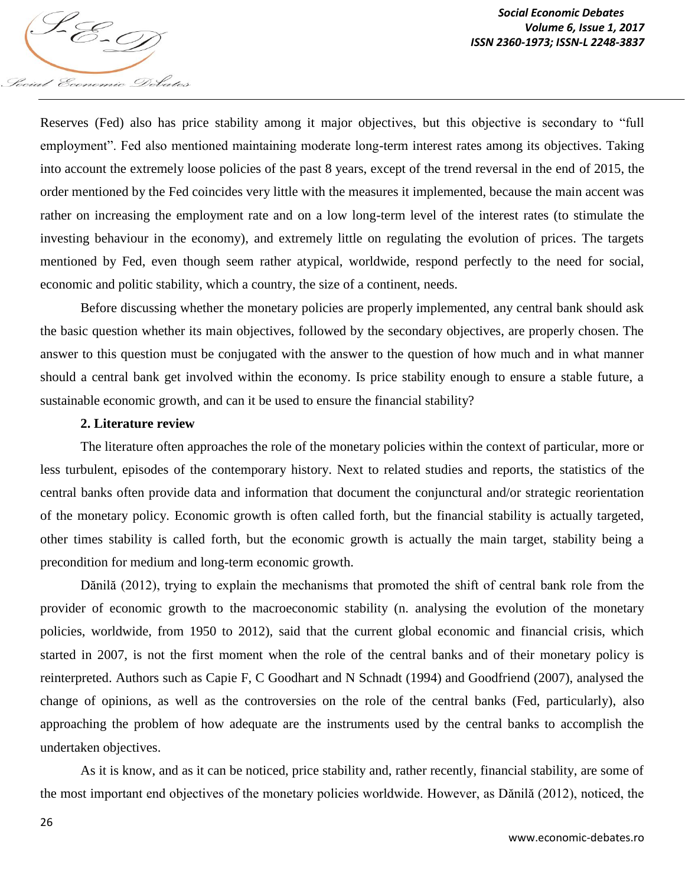

Reserves (Fed) also has price stability among it major objectives, but this objective is secondary to "full employment". Fed also mentioned maintaining moderate long-term interest rates among its objectives. Taking into account the extremely loose policies of the past 8 years, except of the trend reversal in the end of 2015, the order mentioned by the Fed coincides very little with the measures it implemented, because the main accent was rather on increasing the employment rate and on a low long-term level of the interest rates (to stimulate the investing behaviour in the economy), and extremely little on regulating the evolution of prices. The targets mentioned by Fed, even though seem rather atypical, worldwide, respond perfectly to the need for social, economic and politic stability, which a country, the size of a continent, needs.

Before discussing whether the monetary policies are properly implemented, any central bank should ask the basic question whether its main objectives, followed by the secondary objectives, are properly chosen. The answer to this question must be conjugated with the answer to the question of how much and in what manner should a central bank get involved within the economy. Is price stability enough to ensure a stable future, a sustainable economic growth, and can it be used to ensure the financial stability?

# **2. Literature review**

The literature often approaches the role of the monetary policies within the context of particular, more or less turbulent, episodes of the contemporary history. Next to related studies and reports, the statistics of the central banks often provide data and information that document the conjunctural and/or strategic reorientation of the monetary policy. Economic growth is often called forth, but the financial stability is actually targeted, other times stability is called forth, but the economic growth is actually the main target, stability being a precondition for medium and long-term economic growth.

Dănilă (2012), trying to explain the mechanisms that promoted the shift of central bank role from the provider of economic growth to the macroeconomic stability (n. analysing the evolution of the monetary policies, worldwide, from 1950 to 2012), said that the current global economic and financial crisis, which started in 2007, is not the first moment when the role of the central banks and of their monetary policy is reinterpreted. Authors such as Capie F, C Goodhart and N Schnadt (1994) and Goodfriend (2007), analysed the change of opinions, as well as the controversies on the role of the central banks (Fed, particularly), also approaching the problem of how adequate are the instruments used by the central banks to accomplish the undertaken objectives.

As it is know, and as it can be noticed, price stability and, rather recently, financial stability, are some of the most important end objectives of the monetary policies worldwide. However, as Dănilă (2012), noticed, the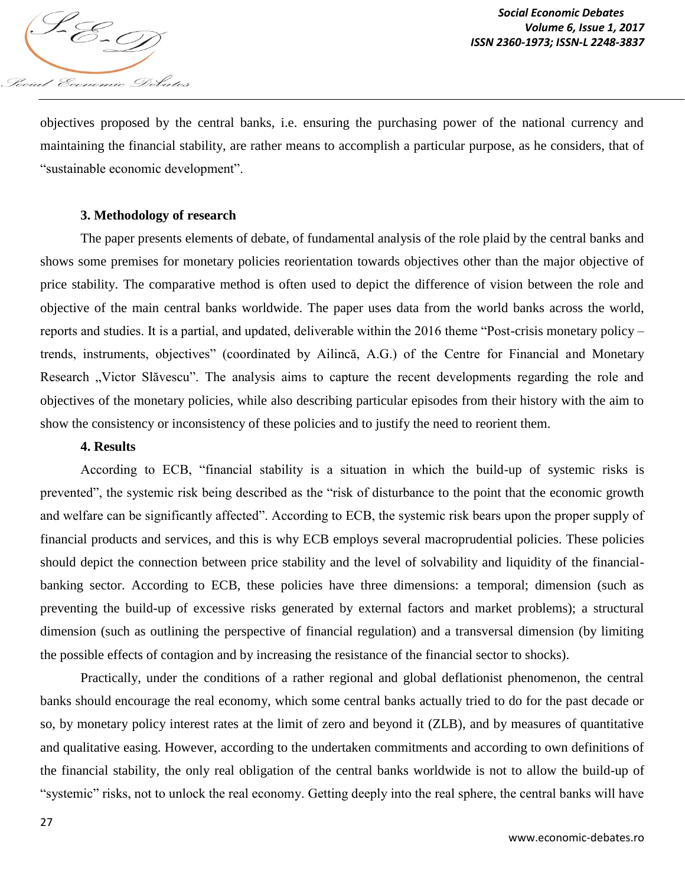

objectives proposed by the central banks, i.e. ensuring the purchasing power of the national currency and maintaining the financial stability, are rather means to accomplish a particular purpose, as he considers, that of "sustainable economic development".

## **3. Methodology of research**

The paper presents elements of debate, of fundamental analysis of the role plaid by the central banks and shows some premises for monetary policies reorientation towards objectives other than the major objective of price stability. The comparative method is often used to depict the difference of vision between the role and objective of the main central banks worldwide. The paper uses data from the world banks across the world, reports and studies. It is a partial, and updated, deliverable within the 2016 theme "Post-crisis monetary policy – trends, instruments, objectives" (coordinated by Ailincă, A.G.) of the Centre for Financial and Monetary Research "Victor Slăvescu". The analysis aims to capture the recent developments regarding the role and objectives of the monetary policies, while also describing particular episodes from their history with the aim to show the consistency or inconsistency of these policies and to justify the need to reorient them.

#### **4. Results**

According to ECB, "financial stability is a situation in which the build-up of systemic risks is prevented", the systemic risk being described as the "risk of disturbance to the point that the economic growth and welfare can be significantly affected". According to ECB, the systemic risk bears upon the proper supply of financial products and services, and this is why ECB employs several macroprudential policies. These policies should depict the connection between price stability and the level of solvability and liquidity of the financialbanking sector. According to ECB, these policies have three dimensions: a temporal; dimension (such as preventing the build-up of excessive risks generated by external factors and market problems); a structural dimension (such as outlining the perspective of financial regulation) and a transversal dimension (by limiting the possible effects of contagion and by increasing the resistance of the financial sector to shocks).

Practically, under the conditions of a rather regional and global deflationist phenomenon, the central banks should encourage the real economy, which some central banks actually tried to do for the past decade or so, by monetary policy interest rates at the limit of zero and beyond it (ZLB), and by measures of quantitative and qualitative easing. However, according to the undertaken commitments and according to own definitions of the financial stability, the only real obligation of the central banks worldwide is not to allow the build-up of "systemic" risks, not to unlock the real economy. Getting deeply into the real sphere, the central banks will have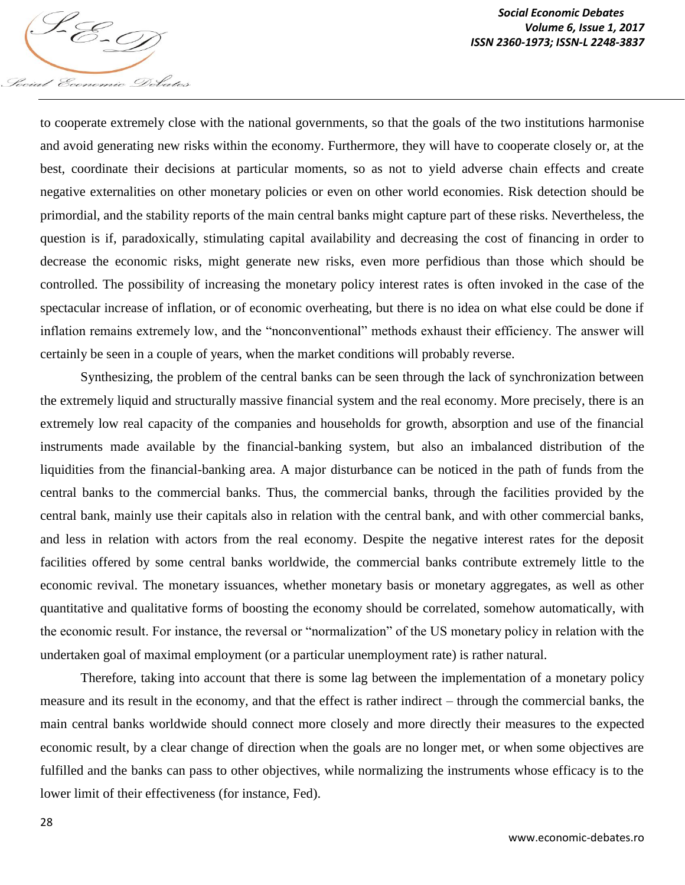to cooperate extremely close with the national governments, so that the goals of the two institutions harmonise and avoid generating new risks within the economy. Furthermore, they will have to cooperate closely or, at the best, coordinate their decisions at particular moments, so as not to yield adverse chain effects and create negative externalities on other monetary policies or even on other world economies. Risk detection should be primordial, and the stability reports of the main central banks might capture part of these risks. Nevertheless, the question is if, paradoxically, stimulating capital availability and decreasing the cost of financing in order to decrease the economic risks, might generate new risks, even more perfidious than those which should be controlled. The possibility of increasing the monetary policy interest rates is often invoked in the case of the spectacular increase of inflation, or of economic overheating, but there is no idea on what else could be done if inflation remains extremely low, and the "nonconventional" methods exhaust their efficiency. The answer will certainly be seen in a couple of years, when the market conditions will probably reverse.

Synthesizing, the problem of the central banks can be seen through the lack of synchronization between the extremely liquid and structurally massive financial system and the real economy. More precisely, there is an extremely low real capacity of the companies and households for growth, absorption and use of the financial instruments made available by the financial-banking system, but also an imbalanced distribution of the liquidities from the financial-banking area. A major disturbance can be noticed in the path of funds from the central banks to the commercial banks. Thus, the commercial banks, through the facilities provided by the central bank, mainly use their capitals also in relation with the central bank, and with other commercial banks, and less in relation with actors from the real economy. Despite the negative interest rates for the deposit facilities offered by some central banks worldwide, the commercial banks contribute extremely little to the economic revival. The monetary issuances, whether monetary basis or monetary aggregates, as well as other quantitative and qualitative forms of boosting the economy should be correlated, somehow automatically, with the economic result. For instance, the reversal or "normalization" of the US monetary policy in relation with the undertaken goal of maximal employment (or a particular unemployment rate) is rather natural.

Therefore, taking into account that there is some lag between the implementation of a monetary policy measure and its result in the economy, and that the effect is rather indirect – through the commercial banks, the main central banks worldwide should connect more closely and more directly their measures to the expected economic result, by a clear change of direction when the goals are no longer met, or when some objectives are fulfilled and the banks can pass to other objectives, while normalizing the instruments whose efficacy is to the lower limit of their effectiveness (for instance, Fed).

Social Economic Debates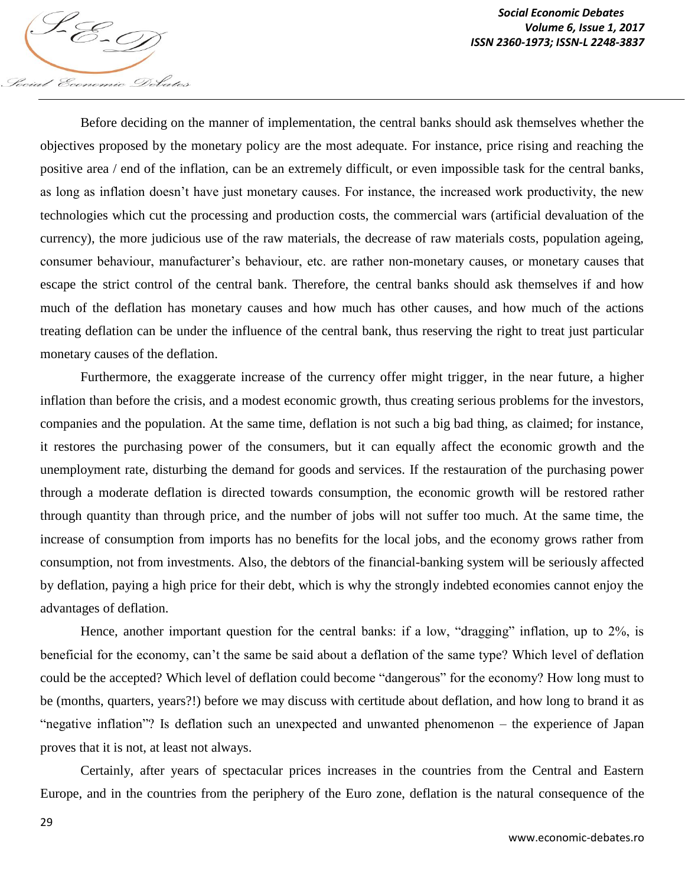Before deciding on the manner of implementation, the central banks should ask themselves whether the objectives proposed by the monetary policy are the most adequate. For instance, price rising and reaching the positive area / end of the inflation, can be an extremely difficult, or even impossible task for the central banks, as long as inflation doesn't have just monetary causes. For instance, the increased work productivity, the new technologies which cut the processing and production costs, the commercial wars (artificial devaluation of the currency), the more judicious use of the raw materials, the decrease of raw materials costs, population ageing, consumer behaviour, manufacturer's behaviour, etc. are rather non-monetary causes, or monetary causes that escape the strict control of the central bank. Therefore, the central banks should ask themselves if and how much of the deflation has monetary causes and how much has other causes, and how much of the actions treating deflation can be under the influence of the central bank, thus reserving the right to treat just particular monetary causes of the deflation.

Furthermore, the exaggerate increase of the currency offer might trigger, in the near future, a higher inflation than before the crisis, and a modest economic growth, thus creating serious problems for the investors, companies and the population. At the same time, deflation is not such a big bad thing, as claimed; for instance, it restores the purchasing power of the consumers, but it can equally affect the economic growth and the unemployment rate, disturbing the demand for goods and services. If the restauration of the purchasing power through a moderate deflation is directed towards consumption, the economic growth will be restored rather through quantity than through price, and the number of jobs will not suffer too much. At the same time, the increase of consumption from imports has no benefits for the local jobs, and the economy grows rather from consumption, not from investments. Also, the debtors of the financial-banking system will be seriously affected by deflation, paying a high price for their debt, which is why the strongly indebted economies cannot enjoy the advantages of deflation.

Hence, another important question for the central banks: if a low, "dragging" inflation, up to 2%, is beneficial for the economy, can't the same be said about a deflation of the same type? Which level of deflation could be the accepted? Which level of deflation could become "dangerous" for the economy? How long must to be (months, quarters, years?!) before we may discuss with certitude about deflation, and how long to brand it as "negative inflation"? Is deflation such an unexpected and unwanted phenomenon – the experience of Japan proves that it is not, at least not always.

Certainly, after years of spectacular prices increases in the countries from the Central and Eastern Europe, and in the countries from the periphery of the Euro zone, deflation is the natural consequence of the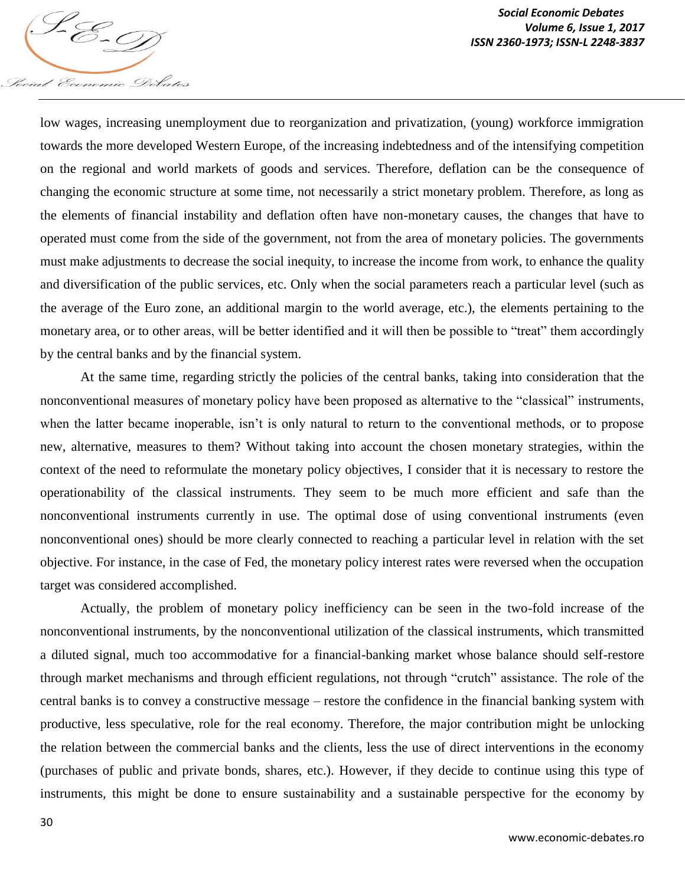low wages, increasing unemployment due to reorganization and privatization, (young) workforce immigration towards the more developed Western Europe, of the increasing indebtedness and of the intensifying competition on the regional and world markets of goods and services. Therefore, deflation can be the consequence of changing the economic structure at some time, not necessarily a strict monetary problem. Therefore, as long as the elements of financial instability and deflation often have non-monetary causes, the changes that have to operated must come from the side of the government, not from the area of monetary policies. The governments must make adjustments to decrease the social inequity, to increase the income from work, to enhance the quality and diversification of the public services, etc. Only when the social parameters reach a particular level (such as the average of the Euro zone, an additional margin to the world average, etc.), the elements pertaining to the monetary area, or to other areas, will be better identified and it will then be possible to "treat" them accordingly by the central banks and by the financial system.

At the same time, regarding strictly the policies of the central banks, taking into consideration that the nonconventional measures of monetary policy have been proposed as alternative to the "classical" instruments, when the latter became inoperable, isn't is only natural to return to the conventional methods, or to propose new, alternative, measures to them? Without taking into account the chosen monetary strategies, within the context of the need to reformulate the monetary policy objectives, I consider that it is necessary to restore the operationability of the classical instruments. They seem to be much more efficient and safe than the nonconventional instruments currently in use. The optimal dose of using conventional instruments (even nonconventional ones) should be more clearly connected to reaching a particular level in relation with the set objective. For instance, in the case of Fed, the monetary policy interest rates were reversed when the occupation target was considered accomplished.

Actually, the problem of monetary policy inefficiency can be seen in the two-fold increase of the nonconventional instruments, by the nonconventional utilization of the classical instruments, which transmitted a diluted signal, much too accommodative for a financial-banking market whose balance should self-restore through market mechanisms and through efficient regulations, not through "crutch" assistance. The role of the central banks is to convey a constructive message – restore the confidence in the financial banking system with productive, less speculative, role for the real economy. Therefore, the major contribution might be unlocking the relation between the commercial banks and the clients, less the use of direct interventions in the economy (purchases of public and private bonds, shares, etc.). However, if they decide to continue using this type of instruments, this might be done to ensure sustainability and a sustainable perspective for the economy by

Social Economic Debates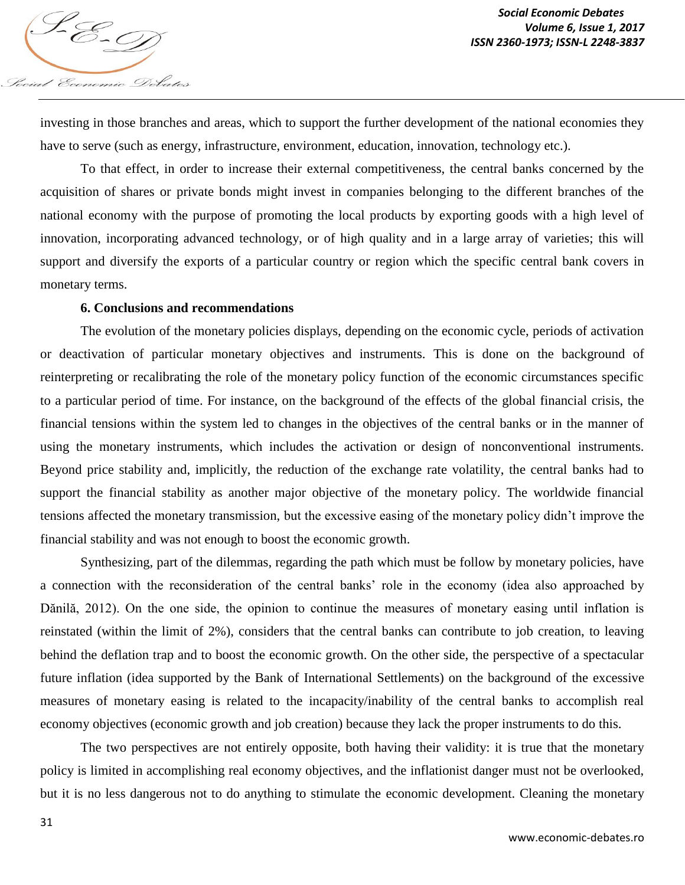

investing in those branches and areas, which to support the further development of the national economies they have to serve (such as energy, infrastructure, environment, education, innovation, technology etc.).

To that effect, in order to increase their external competitiveness, the central banks concerned by the acquisition of shares or private bonds might invest in companies belonging to the different branches of the national economy with the purpose of promoting the local products by exporting goods with a high level of innovation, incorporating advanced technology, or of high quality and in a large array of varieties; this will support and diversify the exports of a particular country or region which the specific central bank covers in monetary terms.

### **6. Conclusions and recommendations**

The evolution of the monetary policies displays, depending on the economic cycle, periods of activation or deactivation of particular monetary objectives and instruments. This is done on the background of reinterpreting or recalibrating the role of the monetary policy function of the economic circumstances specific to a particular period of time. For instance, on the background of the effects of the global financial crisis, the financial tensions within the system led to changes in the objectives of the central banks or in the manner of using the monetary instruments, which includes the activation or design of nonconventional instruments. Beyond price stability and, implicitly, the reduction of the exchange rate volatility, the central banks had to support the financial stability as another major objective of the monetary policy. The worldwide financial tensions affected the monetary transmission, but the excessive easing of the monetary policy didn't improve the financial stability and was not enough to boost the economic growth.

Synthesizing, part of the dilemmas, regarding the path which must be follow by monetary policies, have a connection with the reconsideration of the central banks' role in the economy (idea also approached by Dănilă, 2012). On the one side, the opinion to continue the measures of monetary easing until inflation is reinstated (within the limit of 2%), considers that the central banks can contribute to job creation, to leaving behind the deflation trap and to boost the economic growth. On the other side, the perspective of a spectacular future inflation (idea supported by the Bank of International Settlements) on the background of the excessive measures of monetary easing is related to the incapacity/inability of the central banks to accomplish real economy objectives (economic growth and job creation) because they lack the proper instruments to do this.

The two perspectives are not entirely opposite, both having their validity: it is true that the monetary policy is limited in accomplishing real economy objectives, and the inflationist danger must not be overlooked, but it is no less dangerous not to do anything to stimulate the economic development. Cleaning the monetary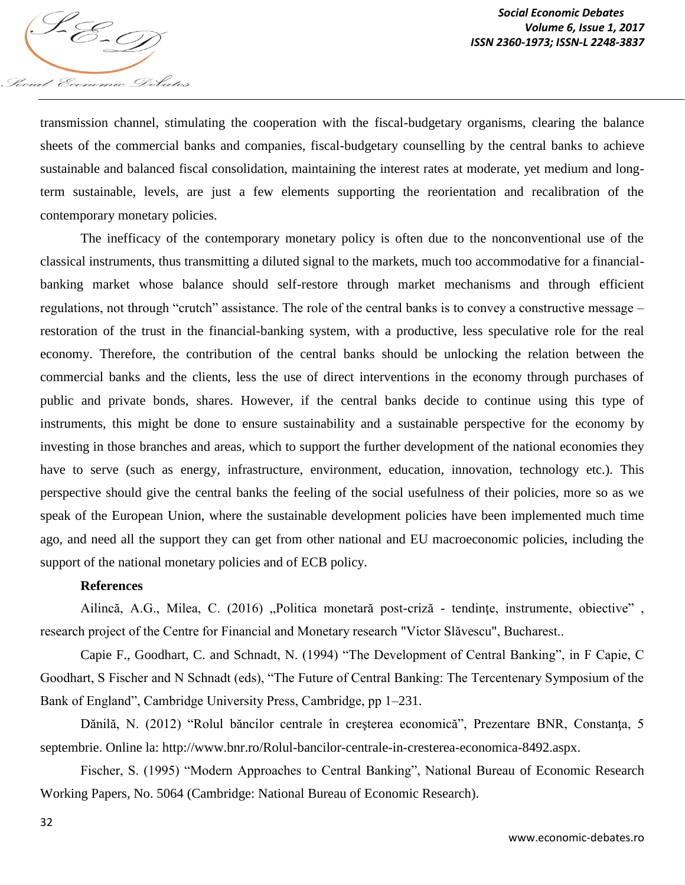transmission channel, stimulating the cooperation with the fiscal-budgetary organisms, clearing the balance sheets of the commercial banks and companies, fiscal-budgetary counselling by the central banks to achieve sustainable and balanced fiscal consolidation, maintaining the interest rates at moderate, yet medium and longterm sustainable, levels, are just a few elements supporting the reorientation and recalibration of the contemporary monetary policies.

The inefficacy of the contemporary monetary policy is often due to the nonconventional use of the classical instruments, thus transmitting a diluted signal to the markets, much too accommodative for a financialbanking market whose balance should self-restore through market mechanisms and through efficient regulations, not through "crutch" assistance. The role of the central banks is to convey a constructive message – restoration of the trust in the financial-banking system, with a productive, less speculative role for the real economy. Therefore, the contribution of the central banks should be unlocking the relation between the commercial banks and the clients, less the use of direct interventions in the economy through purchases of public and private bonds, shares. However, if the central banks decide to continue using this type of instruments, this might be done to ensure sustainability and a sustainable perspective for the economy by investing in those branches and areas, which to support the further development of the national economies they have to serve (such as energy, infrastructure, environment, education, innovation, technology etc.). This perspective should give the central banks the feeling of the social usefulness of their policies, more so as we speak of the European Union, where the sustainable development policies have been implemented much time ago, and need all the support they can get from other national and EU macroeconomic policies, including the support of the national monetary policies and of ECB policy.

#### **References**

Social Economic Debates

Ailincă, A.G., Milea, C. (2016) "Politica monetară post-criză - tendințe, instrumente, obiective", research project of the Centre for Financial and Monetary research "Victor Slăvescu", Bucharest..

Capie F., Goodhart, C. and Schnadt, N. (1994) "The Development of Central Banking", in F Capie, C Goodhart, S Fischer and N Schnadt (eds), "The Future of Central Banking: The Tercentenary Symposium of the Bank of England", Cambridge University Press, Cambridge, pp 1–231.

Dănilă, N. (2012) "Rolul băncilor centrale în creşterea economică", Prezentare BNR, Constanţa, 5 septembrie. Online la: http://www.bnr.ro/Rolul-bancilor-centrale-in-cresterea-economica-8492.aspx.

Fischer, S. (1995) "Modern Approaches to Central Banking", National Bureau of Economic Research Working Papers, No. 5064 (Cambridge: National Bureau of Economic Research).